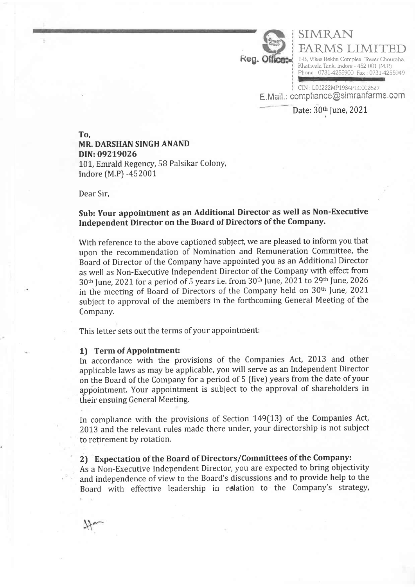

FARMS LIMITED 1-B, Vikas Rekha Complex, Tower Chouraha. Khatiwala Tank, Indore - 452 001 (M.P) Phone : 0731-4255900 Fax : 0731-4255949

E. Mail.: compliance@simranfarms.com CIN : L01222MP1984PLC002627

SIMRAN

To, MR. DARSHAN SINGH ANAND DIN:09219026 101, Emrald Regency, 58 Palsikar Colony, Indore [M.P) -452001'

Dear Sir,

# Sub: Your appointment as an Additional Director as well as Non-Executive Independent Director on the Board of Directors of the Company.

With reference to the above captioned subject, we are pleased to inform you that upon the recommendation of Nomination and Remuneration Committee, the Board of Director of the Company have appointed you as an Additional Director as well as Non-Executive Independent Director of the Company with effect from  $30<sup>th</sup>$  June, 2021 for a period of 5 years i.e. from  $30<sup>th</sup>$  June, 2021 to 29<sup>th</sup> June, 2026 in the meeting of Board of Directors of the Company held on 30<sup>th</sup> June, 2021 subject to approval of the members in the forthcoming General Meeting of the Company.

This letter sets out the terms of your appointment:

#### 1) Term of Appointment:

In accordance with the provisions of the Companies Act, 2013 and other applicable laws as may be applicable, you will serve as an Independent Director on the Board of the Company for a period of 5 [five) years from the date of your appointment. Your appointment is subject to the approval of shareholders in their ensuing General Meeting.

In compliance with the provisions of Section 149(13) of the Companies Act, 2013 and the relevant rules made there under, your directorship is not subject to retirement by rotation.

## 2) Expectation of the Board of Directors/Committees of the Company:

As a Non-Executive Independent Director, you are expected to bring objectivity and independence of view to the Board's discussions and to provide help to the Board with effective leadership in relation to the Company's strategy,

Date: 30th June, 2021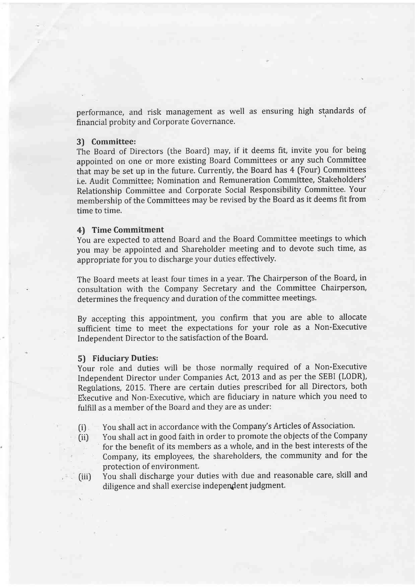performance, and risk management as well as ensuring high standards of financial probity and Corporate Governance.

#### 3) Committee:

The Board of Directors (the Board) may, if it deems fit, invite you for being appointed on one or more existing Board Committees or any such Committee that may be set up in the future. Currently, the Board has 4 (Four) Committees i.e, Audit Committee; Nomination and Remuneration Committee, Stakeholders' Relationship Committee and Corporate Social Responsibility Committee. Your membership of the Committees may be revised by the Board as it deems fit from time to time.

### 4) Time Commitment

You are expected to attend Board and the Board Committee meetings to which you may be appointed and Shareholder meeting and to devote such time, as appropriate for you to discharge your duties effectively.

The Board meets at least four times in a year. The Chairperson of the Board, in consultation with the Company Secretary and the Committee Chairperson, determines the frequency and duration of the committee meetings.

By accepting this appointment, you confirm that you are able to allocate sufficient time to meet the expectations for your role as a Non-Executive Independent Director to the satisfaction of the Board.

#### 5) Fiduciary Duties:

.

Your role and duties will be those normally required of a Non-Executive Independent Director under Companies Act, 2013 and as per the SEBI (LODR), Regulations, 2015. There are certain duties prescribed for all Directors, both Fxecutive and Non-Executive, which are fiduciary in nature which you need to fulfill as a member of the Board and they are as under:

- (i) You shall act in accordance with the Company's Articles of Association.
- (iil You shall act in good faith in order to promote the objects of the Company for the benefit of its members as a whole, and in the best interests of the company, its employees, the shareholders, the community and for the protection of environment,
- (iii) You shall discharge your duties with due and reasonable care, skill and diligence and shall exercise independent judgment.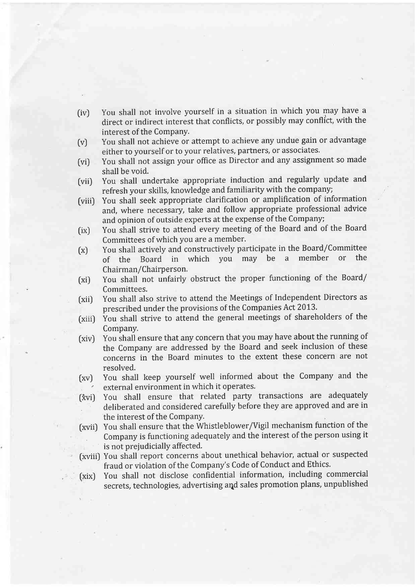- (iv) You shall not involve yourself in a situation in which you\_may have <sup>a</sup> direct or indirect interest that conflicts, or possibly may conflict, with the interest of the Company.
- tv) You shall not achieve or attempt to achieve any undue gain or advantage either to yourself or to your relatives, partners, or associates.
- (vi) You shall not assign your office as Director and any assignment so made shall be void.
- [vii) You shall undertake appropriate induction and regularly update and refresh your skills, knowledge and familiarity with the company;
- (viiiJ You shall seek appropriate clarification or amplification of information and, where necessary, take and follow appropriate professional advice and opinion of outside experts at the expense of the Company;
- (ix) You shall strive to attend every meeting of the Board and of the Board Committees of which you are a member'
- (x) You shall actively and constructively participate in the Board/Committee of the Board in which you may be a member or the Chairman/Chairperson'
- (xi) You shall not unfairly obstruct the proper functioning of the Board/ Committees,
- [xii) You shall also strive to attend the Meetings of Independent Directors as prescribed under the provisions of the Companies Act 2013'
- fxiii) You shall strive to attend the general meetings of shareholders of the Company.
- (xiv) You shall ensure that any concern that you may have about the running of the Company are addressed by the Board and seek inclusion of these concerns in the Board minutes to the extent these concern are not resolved.
- [xv) You shall keep yourself well informed about the Company and the external environment in which it operates.
- (*x*vi) You shall ensure that related party transactions are adequately deliberated and considered carefully before they are approved and are in the interest of the Company.
- (xvii) You shall ensure that the Whistleblower/Vigil mechanism function of the . Company is functioning adequately and the interest of the person using it is not prejudicially affected.
- (xviii) You shall report concerns about unethical behavior, actual or suspected fraud or violation of the Company's Code of Conduct and Ethics,
- (xix) You shall not disclose confidential information, including commercial secrets, technologies, advertising aqd sales promotion plans, unpublished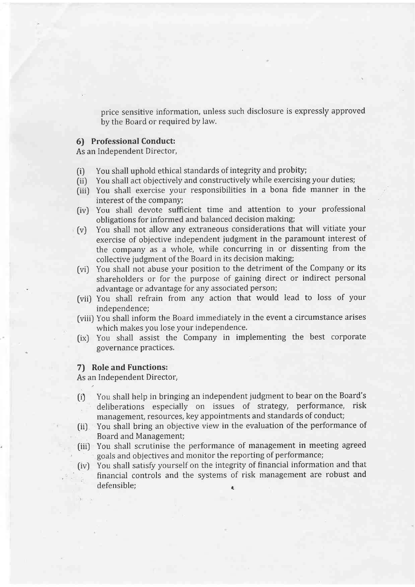price sensitive information, unless such disclosure is expressly approved by the Board or required by law.

#### 6) Professional Conduct:

As an Independent Director,

- (i) You shall uphold ethical standards of integrity and probity;
- (ii) You shall act objectively and constructively while exercising your duties;
- (iii) You shall exercise your responsibilities in a bona fide manner in the interest of the company;
- (iv) You shall devote sufficient time and attention to your professional obligations for informed and balanced decision making;
- (v) You shall not allow any extraneous considerations that will vitiate your exercise of objective independent judgment in the paramount interest of the company as a whole, while concurring in or dissenting from the collective judgment of the Board in its decision making;
- [vi) You shall not abuse your position to the detriment of the Company or its shareholders or for the purpose of gaining direct or indirect personal advantage or advantage for any associated person;
- (vii) You shall refrain from any action that would lead to loss of your independence;
- [viii) You shall inform the Board immediately in the event a circumstance arises which makes you lose your independence.
- (ixJ You shall assist the Company in implementing the best corporate governance practices,

#### 7) Role and Functions:

As an Independent Director,

- (i) You shall help in bringing an independent judgment to bear on the Board's deliberations especially on issues of strategy, performance, risk management, resources, key appointments and standards of conduct;
- (iil You shall bring an objective view in the evaluation of the performance of Board and Management;
- tiii) You shall scrutinise the performance of management in meeting agreed ' goals and objectives and monitor the reporting of performance;
- [ivJ You shall satisfy yourself on the integrity of financial information and that financial controls and the systems of risk management are robust and defensible;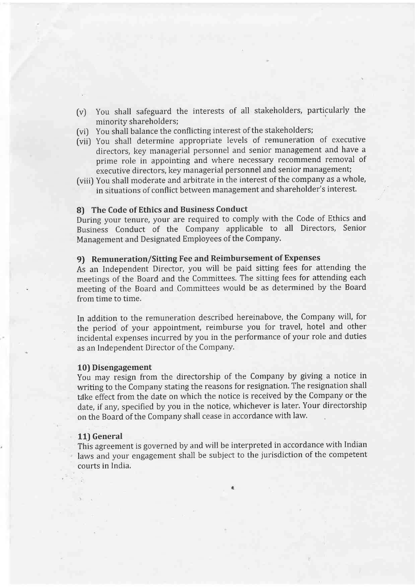- (v) You shall safeguard the interests of all stakeholders, particularly the minority shareholders;
- [vi) You shall balance the conflicting interest of the stakeholders;
- [vii) You shall determine appropriate levels of remuneration of executive directors, key managerial personnel and senior management and have <sup>a</sup> prime role in appointing and where necessary recommend removal of executive directors, key managerial personnel and senior management;
- (viii) You shall moderate and arbitrate in the interest of the company as a whole, in situations of conflict between management and shareholder's interest.

### 8) The Code of Ethics and Business Conduct

During your tenure, your are required to comply with the Code of Ethics and Business Conduct of the Company applicable to all Directors, Senior Management and Designated Employees of the Company.

### 9) Remuneration/Sitting Fee and Reimbursement of Expenses

As an Independent Director, you will be paid sitting fees for attending the meetings of the Board and the Committees, The sitting fees for attending each meeting of the Board and Committees would be as determined by the Board from time to time.

In addition to the remuneration described hereinabove, the Company will, for the period of your appointment, reimburse you for travel, hotel and other incidental expenses incurred by you in the performance of your role and duties as an Independent Director of the Company.

#### 10) Disengagement

You may resign from the directorship of the Company by giving a notice in writing to the Company stating the reasons for resignation. The resignation shall tdke effect from the date on which the notice is received by the Company or the date, if any, specified by you in the notice, whichever is later, Your directorship on the Board of the Company shall cease in accordance with law.

#### 11) General

This agreement is governed by and will be interpreted in accordance with Indian laws and your engagement shall be subject to the jurisdiction of the competent courts in India,